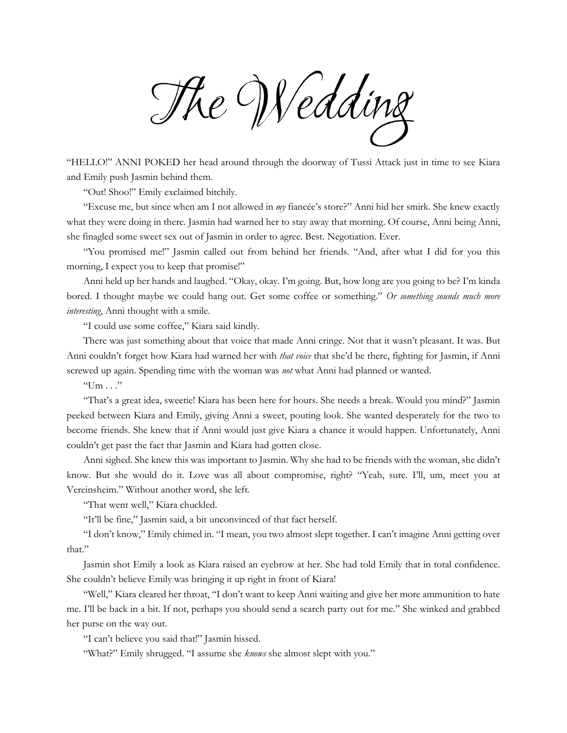The Wedding

"HELLO!" ANNI POKED her head around through the doorway of Tussi Attack just in time to see Kiara and Emily push Jasmin behind them.

"Out! Shoo!" Emily exclaimed bitchily.

"Excuse me, but since when am I not allowed in *my* fiancée's store?" Anni hid her smirk. She knew exactly what they were doing in there. Jasmin had warned her to stay away that morning. Of course, Anni being Anni, she finagled some sweet sex out of Jasmin in order to agree. Best. Negotiation. Ever.

"You promised me!" Jasmin called out from behind her friends. "And, after what I did for you this morning, I expect you to keep that promise!"

Anni held up her hands and laughed. "Okay, okay. I'm going. But, how long are you going to be? I'm kinda bored. I thought maybe we could hang out. Get some coffee or something." *Or something sounds much more interesting*, Anni thought with a smile.

"I could use some coffee," Kiara said kindly.

There was just something about that voice that made Anni cringe. Not that it wasn't pleasant. It was. But Anni couldn't forget how Kiara had warned her with *that voice* that she'd be there, fighting for Jasmin, if Anni screwed up again. Spending time with the woman was *not* what Anni had planned or wanted.

 $"Um..."$ 

"That's a great idea, sweetie! Kiara has been here for hours. She needs a break. Would you mind?" Jasmin peeked between Kiara and Emily, giving Anni a sweet, pouting look. She wanted desperately for the two to become friends. She knew that if Anni would just give Kiara a chance it would happen. Unfortunately, Anni couldn't get past the fact that Jasmin and Kiara had gotten close.

Anni sighed. She knew this was important to Jasmin. Why she had to be friends with the woman, she didn't know. But she would do it. Love was all about compromise, right? "Yeah, sure. I'll, um, meet you at Vereinsheim." Without another word, she left.

"That went well," Kiara chuckled.

"It'll be fine," Jasmin said, a bit unconvinced of that fact herself.

"I don't know," Emily chimed in. "I mean, you two almost slept together. I can't imagine Anni getting over that."

Jasmin shot Emily a look as Kiara raised an eyebrow at her. She had told Emily that in total confidence. She couldn't believe Emily was bringing it up right in front of Kiara!

"Well," Kiara cleared her throat, "I don't want to keep Anni waiting and give her more ammunition to hate me. I'll be back in a bit. If not, perhaps you should send a search party out for me." She winked and grabbed her purse on the way out.

"I can't believe you said that!" Jasmin hissed.

"What?" Emily shrugged. "I assume she *knows* she almost slept with you."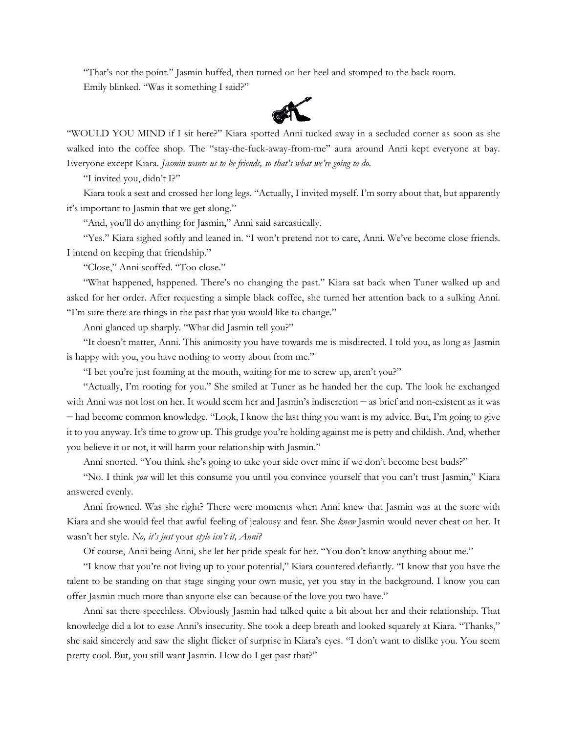"That's not the point." Jasmin huffed, then turned on her heel and stomped to the back room. Emily blinked. "Was it something I said?"



"WOULD YOU MIND if I sit here?" Kiara spotted Anni tucked away in a secluded corner as soon as she walked into the coffee shop. The "stay-the-fuck-away-from-me" aura around Anni kept everyone at bay. Everyone except Kiara. *Jasmin wants us to be friends, so that's what we're going to do.*

"I invited you, didn't I?"

Kiara took a seat and crossed her long legs. "Actually, I invited myself. I'm sorry about that, but apparently it's important to Jasmin that we get along."

"And, you'll do anything for Jasmin," Anni said sarcastically.

"Yes." Kiara sighed softly and leaned in. "I won't pretend not to care, Anni. We've become close friends. I intend on keeping that friendship."

"Close," Anni scoffed. "Too close."

"What happened, happened. There's no changing the past." Kiara sat back when Tuner walked up and asked for her order. After requesting a simple black coffee, she turned her attention back to a sulking Anni. "I'm sure there are things in the past that you would like to change."

Anni glanced up sharply. "What did Jasmin tell you?"

"It doesn't matter, Anni. This animosity you have towards me is misdirected. I told you, as long as Jasmin is happy with you, you have nothing to worry about from me."

"I bet you're just foaming at the mouth, waiting for me to screw up, aren't you?"

"Actually, I'm rooting for you." She smiled at Tuner as he handed her the cup. The look he exchanged with Anni was not lost on her. It would seem her and Jasmin's indiscretion — as brief and non-existent as it was — had become common knowledge. "Look, I know the last thing you want is my advice. But, I'm going to give it to you anyway. It's time to grow up. This grudge you're holding against me is petty and childish. And, whether you believe it or not, it will harm your relationship with Jasmin."

Anni snorted. "You think she's going to take your side over mine if we don't become best buds?"

"No. I think *you* will let this consume you until you convince yourself that you can't trust Jasmin," Kiara answered evenly.

Anni frowned. Was she right? There were moments when Anni knew that Jasmin was at the store with Kiara and she would feel that awful feeling of jealousy and fear. She *knew* Jasmin would never cheat on her. It wasn't her style. *No, it's just* your *style isn't it, Anni?*

Of course, Anni being Anni, she let her pride speak for her. "You don't know anything about me."

"I know that you're not living up to your potential," Kiara countered defiantly. "I know that you have the talent to be standing on that stage singing your own music, yet you stay in the background. I know you can offer Jasmin much more than anyone else can because of the love you two have."

Anni sat there speechless. Obviously Jasmin had talked quite a bit about her and their relationship. That knowledge did a lot to ease Anni's insecurity. She took a deep breath and looked squarely at Kiara. "Thanks," she said sincerely and saw the slight flicker of surprise in Kiara's eyes. "I don't want to dislike you. You seem pretty cool. But, you still want Jasmin. How do I get past that?"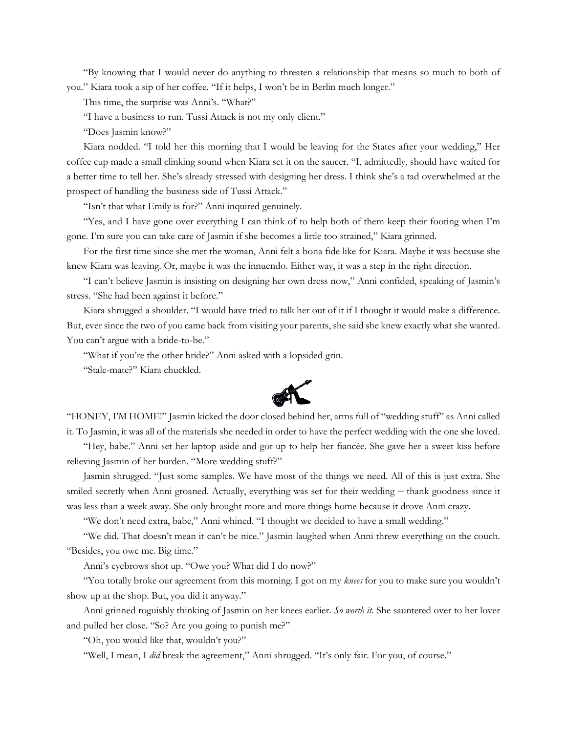"By knowing that I would never do anything to threaten a relationship that means so much to both of you." Kiara took a sip of her coffee. "If it helps, I won't be in Berlin much longer."

This time, the surprise was Anni's. "What?"

"I have a business to run. Tussi Attack is not my only client."

"Does Jasmin know?"

Kiara nodded. "I told her this morning that I would be leaving for the States after your wedding," Her coffee cup made a small clinking sound when Kiara set it on the saucer. "I, admittedly, should have waited for a better time to tell her. She's already stressed with designing her dress. I think she's a tad overwhelmed at the prospect of handling the business side of Tussi Attack."

"Isn't that what Emily is for?" Anni inquired genuinely.

"Yes, and I have gone over everything I can think of to help both of them keep their footing when I'm gone. I'm sure you can take care of Jasmin if she becomes a little too strained," Kiara grinned.

For the first time since she met the woman, Anni felt a bona fide like for Kiara. Maybe it was because she knew Kiara was leaving. Or, maybe it was the innuendo. Either way, it was a step in the right direction.

"I can't believe Jasmin is insisting on designing her own dress now," Anni confided, speaking of Jasmin's stress. "She had been against it before."

Kiara shrugged a shoulder. "I would have tried to talk her out of it if I thought it would make a difference. But, ever since the two of you came back from visiting your parents, she said she knew exactly what she wanted. You can't argue with a bride-to-be."

"What if you're the other bride?" Anni asked with a lopsided grin.

"Stale-mate?" Kiara chuckled.



"HONEY, I'M HOME!" Jasmin kicked the door closed behind her, arms full of "wedding stuff" as Anni called it. To Jasmin, it was all of the materials she needed in order to have the perfect wedding with the one she loved.

"Hey, babe." Anni set her laptop aside and got up to help her fiancée. She gave her a sweet kiss before relieving Jasmin of her burden. "More wedding stuff?"

Jasmin shrugged. "Just some samples. We have most of the things we need. All of this is just extra. She smiled secretly when Anni groaned. Actually, everything was set for their wedding — thank goodness since it was less than a week away. She only brought more and more things home because it drove Anni crazy.

"We don't need extra, babe," Anni whined. "I thought we decided to have a small wedding."

"We did. That doesn't mean it can't be nice." Jasmin laughed when Anni threw everything on the couch. "Besides, you owe me. Big time."

Anni's eyebrows shot up. "Owe you? What did I do now?"

"You totally broke our agreement from this morning. I got on my *knees* for you to make sure you wouldn't show up at the shop. But, you did it anyway."

Anni grinned roguishly thinking of Jasmin on her knees earlier. *So worth it*. She sauntered over to her lover and pulled her close. "So? Are you going to punish me?"

"Oh, you would like that, wouldn't you?"

"Well, I mean, I *did* break the agreement," Anni shrugged. "It's only fair. For you, of course."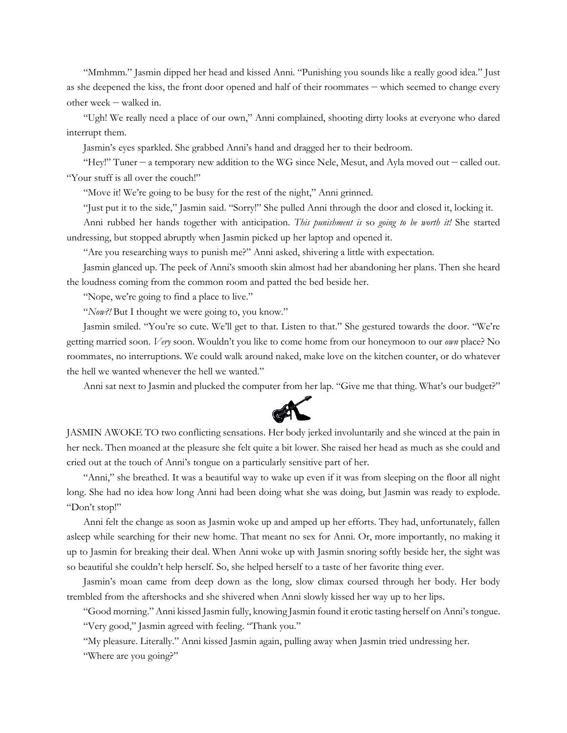"Mmhmm." Jasmin dipped her head and kissed Anni. "Punishing you sounds like a really good idea." Just as she deepened the kiss, the front door opened and half of their roommates — which seemed to change every other week — walked in.

"Ugh! We really need a place of our own," Anni complained, shooting dirty looks at everyone who dared interrupt them.

Jasmin's eyes sparkled. She grabbed Anni's hand and dragged her to their bedroom.

"Hey!" Tuner — a temporary new addition to the WG since Nele, Mesut, and Ayla moved out — called out. "Your stuff is all over the couch!"

"Move it! We're going to be busy for the rest of the night," Anni grinned.

"Just put it to the side," Jasmin said. "Sorry!" She pulled Anni through the door and closed it, locking it.

Anni rubbed her hands together with anticipation. *This punishment is* so *going to be worth it!* She started undressing, but stopped abruptly when Jasmin picked up her laptop and opened it.

"Are you researching ways to punish me?" Anni asked, shivering a little with expectation.

Jasmin glanced up. The peek of Anni's smooth skin almost had her abandoning her plans. Then she heard the loudness coming from the common room and patted the bed beside her.

"Nope, we're going to find a place to live."

"*Now?!* But I thought we were going to, you know."

Jasmin smiled. "You're so cute. We'll get to that. Listen to that." She gestured towards the door. "We're getting married soon. *Very* soon. Wouldn't you like to come home from our honeymoon to our *own* place? No roommates, no interruptions. We could walk around naked, make love on the kitchen counter, or do whatever the hell we wanted whenever the hell we wanted."

Anni sat next to Jasmin and plucked the computer from her lap. "Give me that thing. What's our budget?"



JASMIN AWOKE TO two conflicting sensations. Her body jerked involuntarily and she winced at the pain in her neck. Then moaned at the pleasure she felt quite a bit lower. She raised her head as much as she could and cried out at the touch of Anni's tongue on a particularly sensitive part of her.

"Anni," she breathed. It was a beautiful way to wake up even if it was from sleeping on the floor all night long. She had no idea how long Anni had been doing what she was doing, but Jasmin was ready to explode. "Don't stop!"

Anni felt the change as soon as Jasmin woke up and amped up her efforts. They had, unfortunately, fallen asleep while searching for their new home. That meant no sex for Anni. Or, more importantly, no making it up to Jasmin for breaking their deal. When Anni woke up with Jasmin snoring softly beside her, the sight was so beautiful she couldn't help herself. So, she helped herself to a taste of her favorite thing ever.

Jasmin's moan came from deep down as the long, slow climax coursed through her body. Her body trembled from the aftershocks and she shivered when Anni slowly kissed her way up to her lips.

"Good morning." Anni kissed Jasmin fully, knowing Jasmin found it erotic tasting herself on Anni's tongue. "Very good," Jasmin agreed with feeling. "Thank you."

"My pleasure. Literally." Anni kissed Jasmin again, pulling away when Jasmin tried undressing her.

"Where are you going?"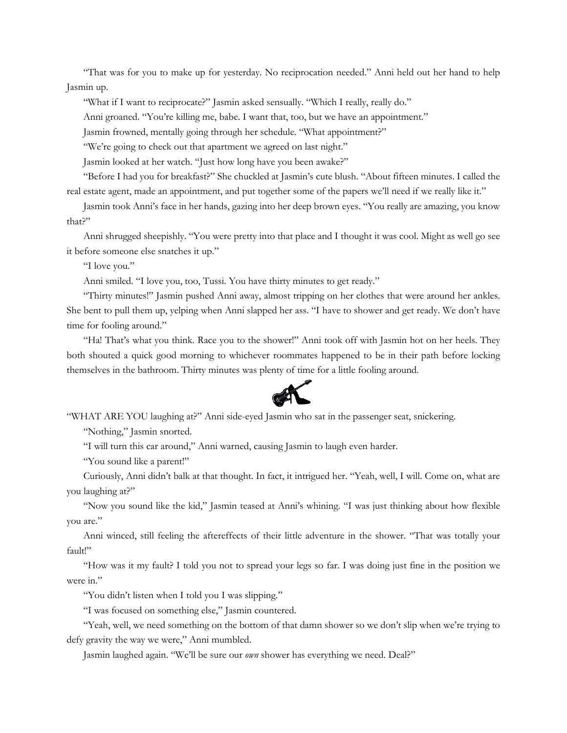"That was for you to make up for yesterday. No reciprocation needed." Anni held out her hand to help Jasmin up.

"What if I want to reciprocate?" Jasmin asked sensually. "Which I really, really do."

Anni groaned. "You're killing me, babe. I want that, too, but we have an appointment."

Jasmin frowned, mentally going through her schedule. "What appointment?"

"We're going to check out that apartment we agreed on last night."

Jasmin looked at her watch. "Just how long have you been awake?"

"Before I had you for breakfast?" She chuckled at Jasmin's cute blush. "About fifteen minutes. I called the real estate agent, made an appointment, and put together some of the papers we'll need if we really like it."

Jasmin took Anni's face in her hands, gazing into her deep brown eyes. "You really are amazing, you know that?"

Anni shrugged sheepishly. "You were pretty into that place and I thought it was cool. Might as well go see it before someone else snatches it up."

"I love you."

Anni smiled. "I love you, too, Tussi. You have thirty minutes to get ready."

"Thirty minutes!" Jasmin pushed Anni away, almost tripping on her clothes that were around her ankles. She bent to pull them up, yelping when Anni slapped her ass. "I have to shower and get ready. We don't have time for fooling around."

"Ha! That's what you think. Race you to the shower!" Anni took off with Jasmin hot on her heels. They both shouted a quick good morning to whichever roommates happened to be in their path before locking themselves in the bathroom. Thirty minutes was plenty of time for a little fooling around.



"WHAT ARE YOU laughing at?" Anni side-eyed Jasmin who sat in the passenger seat, snickering.

"Nothing," Jasmin snorted.

"I will turn this car around," Anni warned, causing Jasmin to laugh even harder.

"You sound like a parent!"

Curiously, Anni didn't balk at that thought. In fact, it intrigued her. "Yeah, well, I will. Come on, what are you laughing at?"

"Now you sound like the kid," Jasmin teased at Anni's whining. "I was just thinking about how flexible you are."

Anni winced, still feeling the aftereffects of their little adventure in the shower. "That was totally your fault!"

"How was it my fault? I told you not to spread your legs so far. I was doing just fine in the position we were in."

"You didn't listen when I told you I was slipping."

"I was focused on something else," Jasmin countered.

"Yeah, well, we need something on the bottom of that damn shower so we don't slip when we're trying to defy gravity the way we were," Anni mumbled.

Jasmin laughed again. "We'll be sure our *own* shower has everything we need. Deal?"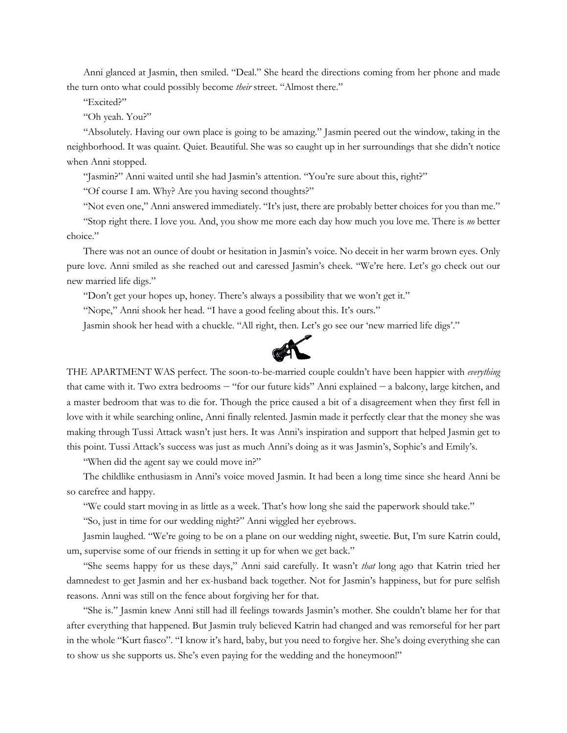Anni glanced at Jasmin, then smiled. "Deal." She heard the directions coming from her phone and made the turn onto what could possibly become *their* street. "Almost there."

"Excited?"

"Oh yeah. You?"

"Absolutely. Having our own place is going to be amazing." Jasmin peered out the window, taking in the neighborhood. It was quaint. Quiet. Beautiful. She was so caught up in her surroundings that she didn't notice when Anni stopped.

"Jasmin?" Anni waited until she had Jasmin's attention. "You're sure about this, right?"

"Of course I am. Why? Are you having second thoughts?"

"Not even one," Anni answered immediately. "It's just, there are probably better choices for you than me."

"Stop right there. I love you. And, you show me more each day how much you love me. There is *no* better choice."

There was not an ounce of doubt or hesitation in Jasmin's voice. No deceit in her warm brown eyes. Only pure love. Anni smiled as she reached out and caressed Jasmin's cheek. "We're here. Let's go check out our new married life digs."

"Don't get your hopes up, honey. There's always a possibility that we won't get it."

"Nope," Anni shook her head. "I have a good feeling about this. It's ours."

Jasmin shook her head with a chuckle. "All right, then. Let's go see our 'new married life digs'."



THE APARTMENT WAS perfect. The soon-to-be-married couple couldn't have been happier with *everything* that came with it. Two extra bedrooms — "for our future kids" Anni explained — a balcony, large kitchen, and a master bedroom that was to die for. Though the price caused a bit of a disagreement when they first fell in love with it while searching online, Anni finally relented. Jasmin made it perfectly clear that the money she was making through Tussi Attack wasn't just hers. It was Anni's inspiration and support that helped Jasmin get to this point. Tussi Attack's success was just as much Anni's doing as it was Jasmin's, Sophie's and Emily's.

"When did the agent say we could move in?"

The childlike enthusiasm in Anni's voice moved Jasmin. It had been a long time since she heard Anni be so carefree and happy.

"We could start moving in as little as a week. That's how long she said the paperwork should take."

"So, just in time for our wedding night?" Anni wiggled her eyebrows.

Jasmin laughed. "We're going to be on a plane on our wedding night, sweetie. But, I'm sure Katrin could, um, supervise some of our friends in setting it up for when we get back."

"She seems happy for us these days," Anni said carefully. It wasn't *that* long ago that Katrin tried her damnedest to get Jasmin and her ex-husband back together. Not for Jasmin's happiness, but for pure selfish reasons. Anni was still on the fence about forgiving her for that.

"She is." Jasmin knew Anni still had ill feelings towards Jasmin's mother. She couldn't blame her for that after everything that happened. But Jasmin truly believed Katrin had changed and was remorseful for her part in the whole "Kurt fiasco". "I know it's hard, baby, but you need to forgive her. She's doing everything she can to show us she supports us. She's even paying for the wedding and the honeymoon!"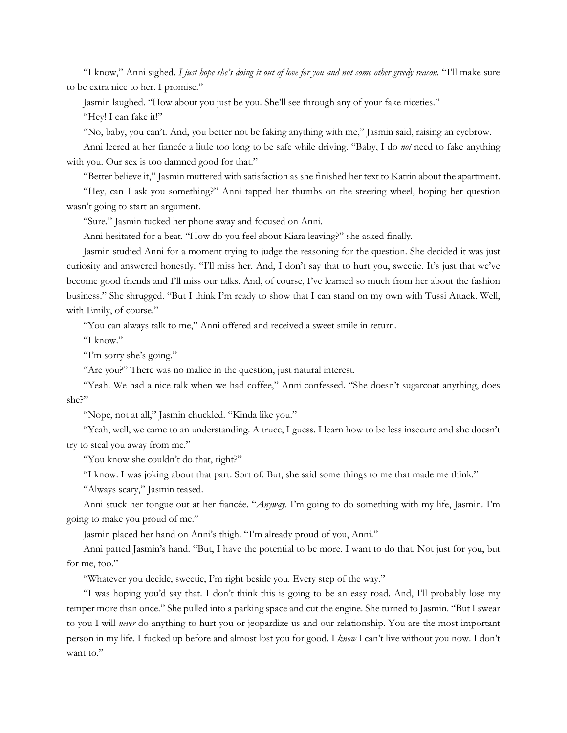"I know," Anni sighed. I just hope she's doing it out of love for you and not some other greedy reason. "I'll make sure to be extra nice to her. I promise."

Jasmin laughed. "How about you just be you. She'll see through any of your fake niceties."

"Hey! I can fake it!"

"No, baby, you can't. And, you better not be faking anything with me," Jasmin said, raising an eyebrow.

Anni leered at her fiancée a little too long to be safe while driving. "Baby, I do *not* need to fake anything with you. Our sex is too damned good for that."

"Better believe it," Jasmin muttered with satisfaction as she finished her text to Katrin about the apartment.

"Hey, can I ask you something?" Anni tapped her thumbs on the steering wheel, hoping her question wasn't going to start an argument.

"Sure." Jasmin tucked her phone away and focused on Anni.

Anni hesitated for a beat. "How do you feel about Kiara leaving?" she asked finally.

Jasmin studied Anni for a moment trying to judge the reasoning for the question. She decided it was just curiosity and answered honestly. "I'll miss her. And, I don't say that to hurt you, sweetie. It's just that we've become good friends and I'll miss our talks. And, of course, I've learned so much from her about the fashion business." She shrugged. "But I think I'm ready to show that I can stand on my own with Tussi Attack. Well, with Emily, of course."

"You can always talk to me," Anni offered and received a sweet smile in return.

"I know."

"I'm sorry she's going."

"Are you?" There was no malice in the question, just natural interest.

"Yeah. We had a nice talk when we had coffee," Anni confessed. "She doesn't sugarcoat anything, does she?"

"Nope, not at all," Jasmin chuckled. "Kinda like you."

"Yeah, well, we came to an understanding. A truce, I guess. I learn how to be less insecure and she doesn't try to steal you away from me."

"You know she couldn't do that, right?"

"I know. I was joking about that part. Sort of. But, she said some things to me that made me think."

"Always scary," Jasmin teased.

Anni stuck her tongue out at her fiancée. "*Anyway*. I'm going to do something with my life, Jasmin. I'm going to make you proud of me."

Jasmin placed her hand on Anni's thigh. "I'm already proud of you, Anni."

Anni patted Jasmin's hand. "But, I have the potential to be more. I want to do that. Not just for you, but for me, too."

"Whatever you decide, sweetie, I'm right beside you. Every step of the way."

"I was hoping you'd say that. I don't think this is going to be an easy road. And, I'll probably lose my temper more than once." She pulled into a parking space and cut the engine. She turned to Jasmin. "But I swear to you I will *never* do anything to hurt you or jeopardize us and our relationship. You are the most important person in my life. I fucked up before and almost lost you for good. I *know* I can't live without you now. I don't want to."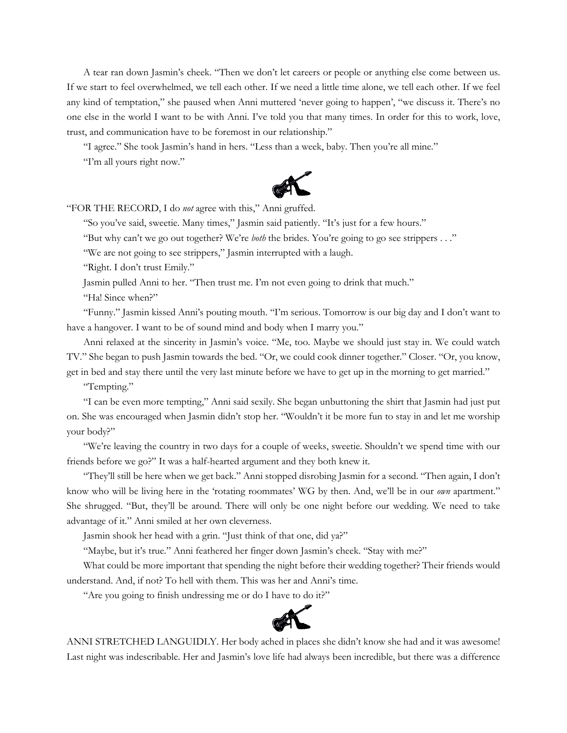A tear ran down Jasmin's cheek. "Then we don't let careers or people or anything else come between us. If we start to feel overwhelmed, we tell each other. If we need a little time alone, we tell each other. If we feel any kind of temptation," she paused when Anni muttered 'never going to happen', "we discuss it. There's no one else in the world I want to be with Anni. I've told you that many times. In order for this to work, love, trust, and communication have to be foremost in our relationship."

"I agree." She took Jasmin's hand in hers. "Less than a week, baby. Then you're all mine." "I'm all yours right now."



"FOR THE RECORD, I do *not* agree with this," Anni gruffed.

"So you've said, sweetie. Many times," Jasmin said patiently. "It's just for a few hours."

"But why can't we go out together? We're *both* the brides. You're going to go see strippers . . ."

"We are not going to see strippers," Jasmin interrupted with a laugh.

"Right. I don't trust Emily."

Jasmin pulled Anni to her. "Then trust me. I'm not even going to drink that much."

"Ha! Since when?"

"Funny." Jasmin kissed Anni's pouting mouth. "I'm serious. Tomorrow is our big day and I don't want to have a hangover. I want to be of sound mind and body when I marry you."

Anni relaxed at the sincerity in Jasmin's voice. "Me, too. Maybe we should just stay in. We could watch TV." She began to push Jasmin towards the bed. "Or, we could cook dinner together." Closer. "Or, you know, get in bed and stay there until the very last minute before we have to get up in the morning to get married."

"Tempting."

"I can be even more tempting," Anni said sexily. She began unbuttoning the shirt that Jasmin had just put on. She was encouraged when Jasmin didn't stop her. "Wouldn't it be more fun to stay in and let me worship your body?"

"We're leaving the country in two days for a couple of weeks, sweetie. Shouldn't we spend time with our friends before we go?" It was a half-hearted argument and they both knew it.

"They'll still be here when we get back." Anni stopped disrobing Jasmin for a second. "Then again, I don't know who will be living here in the 'rotating roommates' WG by then. And, we'll be in our *own* apartment." She shrugged. "But, they'll be around. There will only be one night before our wedding. We need to take advantage of it." Anni smiled at her own cleverness.

Jasmin shook her head with a grin. "Just think of that one, did ya?"

"Maybe, but it's true." Anni feathered her finger down Jasmin's cheek. "Stay with me?"

What could be more important that spending the night before their wedding together? Their friends would understand. And, if not? To hell with them. This was her and Anni's time.

"Are you going to finish undressing me or do I have to do it?"



ANNI STRETCHED LANGUIDLY. Her body ached in places she didn't know she had and it was awesome! Last night was indescribable. Her and Jasmin's love life had always been incredible, but there was a difference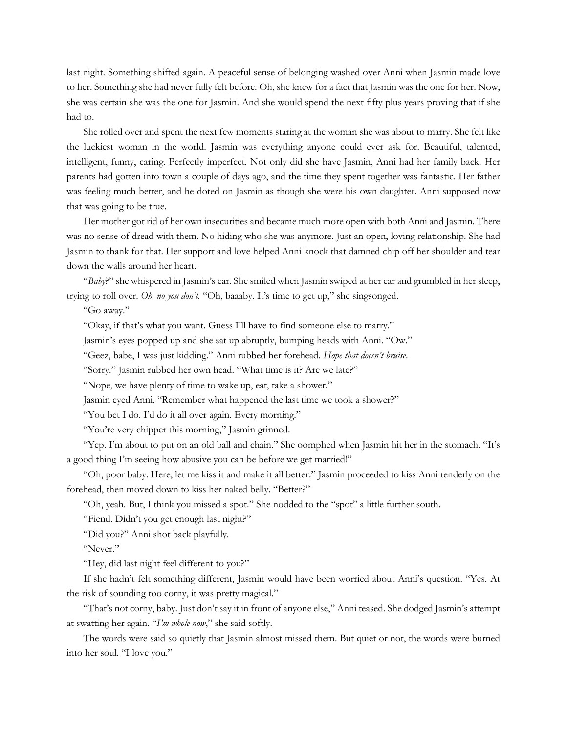last night. Something shifted again. A peaceful sense of belonging washed over Anni when Jasmin made love to her. Something she had never fully felt before. Oh, she knew for a fact that Jasmin was the one for her. Now, she was certain she was the one for Jasmin. And she would spend the next fifty plus years proving that if she had to.

She rolled over and spent the next few moments staring at the woman she was about to marry. She felt like the luckiest woman in the world. Jasmin was everything anyone could ever ask for. Beautiful, talented, intelligent, funny, caring. Perfectly imperfect. Not only did she have Jasmin, Anni had her family back. Her parents had gotten into town a couple of days ago, and the time they spent together was fantastic. Her father was feeling much better, and he doted on Jasmin as though she were his own daughter. Anni supposed now that was going to be true.

Her mother got rid of her own insecurities and became much more open with both Anni and Jasmin. There was no sense of dread with them. No hiding who she was anymore. Just an open, loving relationship. She had Jasmin to thank for that. Her support and love helped Anni knock that damned chip off her shoulder and tear down the walls around her heart.

"*Baby*?" she whispered in Jasmin's ear. She smiled when Jasmin swiped at her ear and grumbled in her sleep, trying to roll over. *Oh, no you don't.* "Oh, baaaby. It's time to get up," she singsonged.

"Go away."

"Okay, if that's what you want. Guess I'll have to find someone else to marry."

Jasmin's eyes popped up and she sat up abruptly, bumping heads with Anni. "Ow."

"Geez, babe, I was just kidding." Anni rubbed her forehead. *Hope that doesn't bruise*.

"Sorry." Jasmin rubbed her own head. "What time is it? Are we late?"

"Nope, we have plenty of time to wake up, eat, take a shower."

Jasmin eyed Anni. "Remember what happened the last time we took a shower?"

"You bet I do. I'd do it all over again. Every morning."

"You're very chipper this morning," Jasmin grinned.

"Yep. I'm about to put on an old ball and chain." She oomphed when Jasmin hit her in the stomach. "It's a good thing I'm seeing how abusive you can be before we get married!"

"Oh, poor baby. Here, let me kiss it and make it all better." Jasmin proceeded to kiss Anni tenderly on the forehead, then moved down to kiss her naked belly. "Better?"

"Oh, yeah. But, I think you missed a spot." She nodded to the "spot" a little further south.

"Fiend. Didn't you get enough last night?"

"Did you?" Anni shot back playfully.

"Never."

"Hey, did last night feel different to you?"

If she hadn't felt something different, Jasmin would have been worried about Anni's question. "Yes. At the risk of sounding too corny, it was pretty magical."

"That's not corny, baby. Just don't say it in front of anyone else," Anni teased. She dodged Jasmin's attempt at swatting her again. "*I'm whole now*," she said softly.

The words were said so quietly that Jasmin almost missed them. But quiet or not, the words were burned into her soul. "I love you."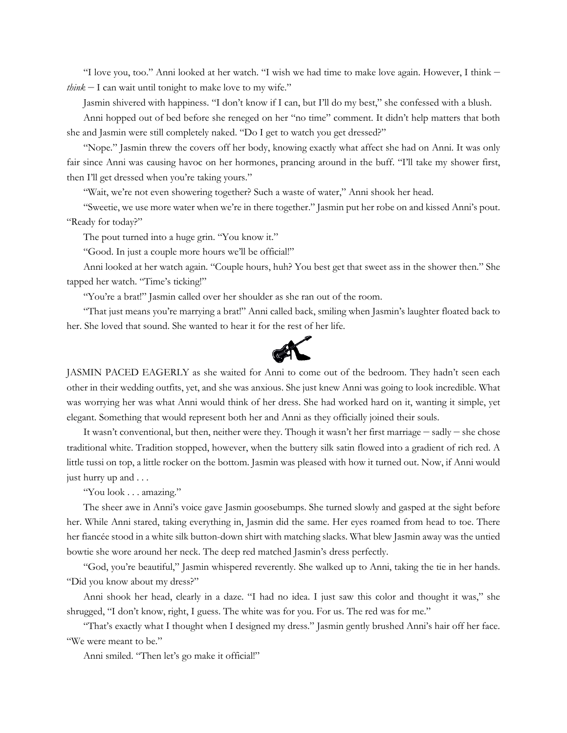"I love you, too." Anni looked at her watch. "I wish we had time to make love again. However, I think *think* — I can wait until tonight to make love to my wife."

Jasmin shivered with happiness. "I don't know if I can, but I'll do my best," she confessed with a blush.

Anni hopped out of bed before she reneged on her "no time" comment. It didn't help matters that both she and Jasmin were still completely naked. "Do I get to watch you get dressed?"

"Nope." Jasmin threw the covers off her body, knowing exactly what affect she had on Anni. It was only fair since Anni was causing havoc on her hormones, prancing around in the buff. "I'll take my shower first, then I'll get dressed when you're taking yours."

"Wait, we're not even showering together? Such a waste of water," Anni shook her head.

"Sweetie, we use more water when we're in there together." Jasmin put her robe on and kissed Anni's pout. "Ready for today?"

The pout turned into a huge grin. "You know it."

"Good. In just a couple more hours we'll be official!"

Anni looked at her watch again. "Couple hours, huh? You best get that sweet ass in the shower then." She tapped her watch. "Time's ticking!"

"You're a brat!" Jasmin called over her shoulder as she ran out of the room.

"That just means you're marrying a brat!" Anni called back, smiling when Jasmin's laughter floated back to her. She loved that sound. She wanted to hear it for the rest of her life.



JASMIN PACED EAGERLY as she waited for Anni to come out of the bedroom. They hadn't seen each other in their wedding outfits, yet, and she was anxious. She just knew Anni was going to look incredible. What was worrying her was what Anni would think of her dress. She had worked hard on it, wanting it simple, yet elegant. Something that would represent both her and Anni as they officially joined their souls.

It wasn't conventional, but then, neither were they. Though it wasn't her first marriage — sadly — she chose traditional white. Tradition stopped, however, when the buttery silk satin flowed into a gradient of rich red. A little tussi on top, a little rocker on the bottom. Jasmin was pleased with how it turned out. Now, if Anni would just hurry up and . . .

"You look . . . amazing."

The sheer awe in Anni's voice gave Jasmin goosebumps. She turned slowly and gasped at the sight before her. While Anni stared, taking everything in, Jasmin did the same. Her eyes roamed from head to toe. There her fiancée stood in a white silk button-down shirt with matching slacks. What blew Jasmin away was the untied bowtie she wore around her neck. The deep red matched Jasmin's dress perfectly.

"God, you're beautiful," Jasmin whispered reverently. She walked up to Anni, taking the tie in her hands. "Did you know about my dress?"

Anni shook her head, clearly in a daze. "I had no idea. I just saw this color and thought it was," she shrugged, "I don't know, right, I guess. The white was for you. For us. The red was for me."

"That's exactly what I thought when I designed my dress." Jasmin gently brushed Anni's hair off her face. "We were meant to be."

Anni smiled. "Then let's go make it official!"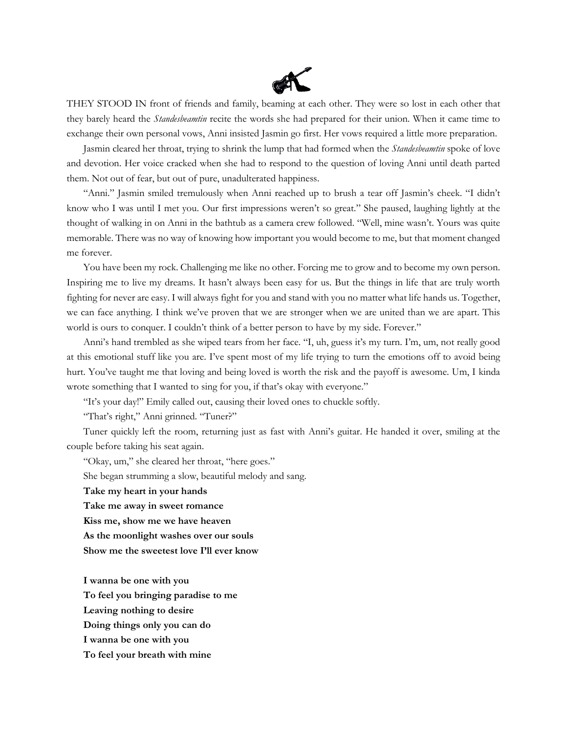

THEY STOOD IN front of friends and family, beaming at each other. They were so lost in each other that they barely heard the *Standesbeamtin* recite the words she had prepared for their union. When it came time to exchange their own personal vows, Anni insisted Jasmin go first. Her vows required a little more preparation.

Jasmin cleared her throat, trying to shrink the lump that had formed when the *Standesbeamtin* spoke of love and devotion. Her voice cracked when she had to respond to the question of loving Anni until death parted them. Not out of fear, but out of pure, unadulterated happiness.

"Anni." Jasmin smiled tremulously when Anni reached up to brush a tear off Jasmin's cheek. "I didn't know who I was until I met you. Our first impressions weren't so great." She paused, laughing lightly at the thought of walking in on Anni in the bathtub as a camera crew followed. "Well, mine wasn't. Yours was quite memorable. There was no way of knowing how important you would become to me, but that moment changed me forever.

You have been my rock. Challenging me like no other. Forcing me to grow and to become my own person. Inspiring me to live my dreams. It hasn't always been easy for us. But the things in life that are truly worth fighting for never are easy. I will always fight for you and stand with you no matter what life hands us. Together, we can face anything. I think we've proven that we are stronger when we are united than we are apart. This world is ours to conquer. I couldn't think of a better person to have by my side. Forever."

Anni's hand trembled as she wiped tears from her face. "I, uh, guess it's my turn. I'm, um, not really good at this emotional stuff like you are. I've spent most of my life trying to turn the emotions off to avoid being hurt. You've taught me that loving and being loved is worth the risk and the payoff is awesome. Um, I kinda wrote something that I wanted to sing for you, if that's okay with everyone."

"It's your day!" Emily called out, causing their loved ones to chuckle softly.

"That's right," Anni grinned. "Tuner?"

Tuner quickly left the room, returning just as fast with Anni's guitar. He handed it over, smiling at the couple before taking his seat again.

"Okay, um," she cleared her throat, "here goes." She began strumming a slow, beautiful melody and sang. **Take my heart in your hands Take me away in sweet romance Kiss me, show me we have heaven As the moonlight washes over our souls Show me the sweetest love I'll ever know**

**I wanna be one with you To feel you bringing paradise to me Leaving nothing to desire Doing things only you can do I wanna be one with you To feel your breath with mine**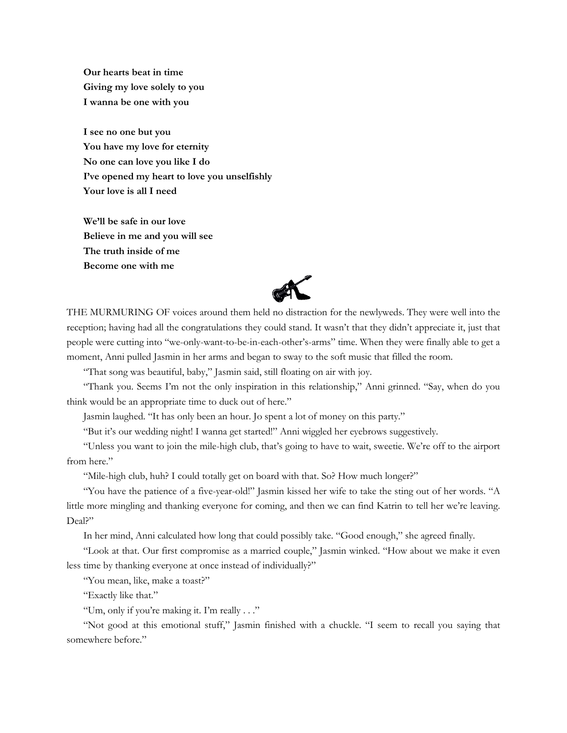**Our hearts beat in time Giving my love solely to you I wanna be one with you**

**I see no one but you You have my love for eternity No one can love you like I do I've opened my heart to love you unselfishly Your love is all I need**

**We'll be safe in our love Believe in me and you will see The truth inside of me Become one with me**



THE MURMURING OF voices around them held no distraction for the newlyweds. They were well into the reception; having had all the congratulations they could stand. It wasn't that they didn't appreciate it, just that people were cutting into "we-only-want-to-be-in-each-other's-arms" time. When they were finally able to get a moment, Anni pulled Jasmin in her arms and began to sway to the soft music that filled the room.

"That song was beautiful, baby," Jasmin said, still floating on air with joy.

"Thank you. Seems I'm not the only inspiration in this relationship," Anni grinned. "Say, when do you think would be an appropriate time to duck out of here."

Jasmin laughed. "It has only been an hour. Jo spent a lot of money on this party."

"But it's our wedding night! I wanna get started!" Anni wiggled her eyebrows suggestively.

"Unless you want to join the mile-high club, that's going to have to wait, sweetie. We're off to the airport from here."

"Mile-high club, huh? I could totally get on board with that. So? How much longer?"

"You have the patience of a five-year-old!" Jasmin kissed her wife to take the sting out of her words. "A little more mingling and thanking everyone for coming, and then we can find Katrin to tell her we're leaving. Deal?"

In her mind, Anni calculated how long that could possibly take. "Good enough," she agreed finally.

"Look at that. Our first compromise as a married couple," Jasmin winked. "How about we make it even less time by thanking everyone at once instead of individually?"

"You mean, like, make a toast?"

"Exactly like that."

"Um, only if you're making it. I'm really . . ."

"Not good at this emotional stuff," Jasmin finished with a chuckle. "I seem to recall you saying that somewhere before."